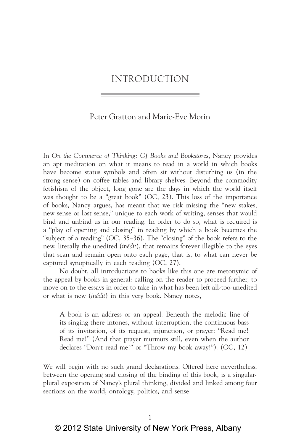# Introduction

## Peter Gratton and Marie-Eve Morin

In *On the Commerce of Thinking: Of Books and Bookstores*, Nancy provides an apt meditation on what it means to read in a world in which books have become status symbols and often sit without disturbing us (in the strong sense) on coffee tables and library shelves. Beyond the commodity fetishism of the object, long gone are the days in which the world itself was thought to be a "great book" (*OC*, 23). This loss of the importance of books, Nancy argues, has meant that we risk missing the "new stakes, new sense or lost sense," unique to each work of writing, senses that would bind and unbind us in our reading. In order to do so, what is required is a "play of opening and closing" in reading by which a book becomes the "subject of a reading" (*OC*, 35–36). The "closing" of the book refers to the new, literally the unedited (*inédit*), that remains forever illegible to the eyes that scan and remain open onto each page, that is, to what can never be captured synoptically in each reading (*OC*, 27).

No doubt, all introductions to books like this one are metonymic of the appeal by books in general: calling on the reader to proceed further, to move on to the essays in order to take in what has been left all-too-unedited or what is new (*inédit*) in this very book. Nancy notes,

A book is an address or an appeal. Beneath the melodic line of its singing there intones, without interruption, the continuous bass of its invitation, of its request, injunction, or prayer: "Read me! Read me!" (And that prayer murmurs still, even when the author declares "Don't read me!" or "Throw my book away!"). (*OC*, 12)

We will begin with no such grand declarations. Offered here nevertheless, between the opening and closing of the binding of this book, is a singularplural exposition of Nancy's plural thinking, divided and linked among four sections on the world, ontology, politics, and sense.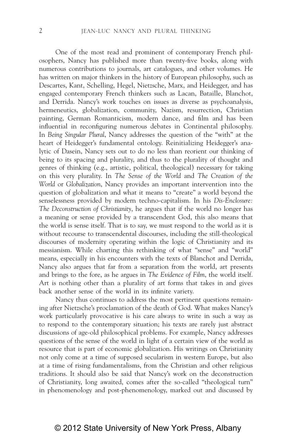One of the most read and prominent of contemporary French philosophers, Nancy has published more than twenty-five books, along with numerous contributions to journals, art catalogues, and other volumes. He has written on major thinkers in the history of European philosophy, such as Descartes, Kant, Schelling, Hegel, Nietzsche, Marx, and Heidegger, and has engaged contemporary French thinkers such as Lacan, Bataille, Blanchot, and Derrida. Nancy's work touches on issues as diverse as psychoanalysis, hermeneutics, globalization, community, Nazism, resurrection, Christian painting, German Romanticism, modern dance, and film and has been influential in reconfiguring numerous debates in Continental philosophy. In *Being Singular Plural*, Nancy addresses the question of the "with" at the heart of Heidegger's fundamental ontology. Reinitializing Heidegger's analytic of Dasein, Nancy sets out to do no less than reorient our thinking of being to its spacing and plurality, and thus to the plurality of thought and genres of thinking (e.g., artistic, political, theological) necessary for taking on this very plurality. In *The Sense of the World* and *The Creation of the World* or *Globalization*, Nancy provides an important intervention into the question of globalization and what it means to "create" a world beyond the senselessness provided by modern techno-capitalism. In his *Dis-Enclosure: The Deconstruction of Christianity*, he argues that if the world no longer has a meaning or sense provided by a transcendent God, this also means that the world is sense itself. That is to say, we must respond to the world as it is without recourse to transcendental discourses, including the still-theological discourses of modernity operating within the logic of Christianity and its messianism. While charting this rethinking of what "sense" and "world" means, especially in his encounters with the texts of Blanchot and Derrida, Nancy also argues that far from a separation from the world, art presents and brings to the fore, as he argues in *The Evidence of Film*, the world itself. Art is nothing other than a plurality of art forms that takes in and gives back another sense of the world in its infinite variety.

Nancy thus continues to address the most pertinent questions remaining after Nietzsche's proclamation of the death of God. What makes Nancy's work particularly provocative is his care always to write in such a way as to respond to the contemporary situation; his texts are rarely just abstract discussions of age-old philosophical problems. For example, Nancy addresses questions of the sense of the world in light of a certain view of the world as resource that is part of economic globalization. His writings on Christianity not only come at a time of supposed secularism in western Europe, but also at a time of rising fundamentalisms, from the Christian and other religious traditions. It should also be said that Nancy's work on the deconstruction of Christianity, long awaited, comes after the so-called "theological turn" in phenomenology and post-phenomenology, marked out and discussed by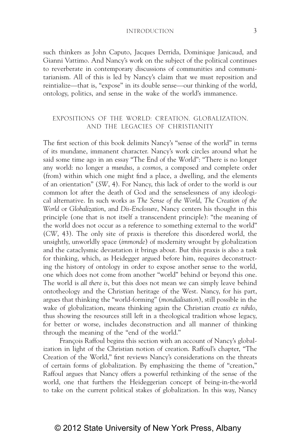such thinkers as John Caputo, Jacques Derrida, Dominique Janicaud, and Gianni Vattimo. And Nancy's work on the subject of the political continues to reverberate in contemporary discussions of communities and communitarianism. All of this is led by Nancy's claim that we must reposition and reintialize—that is, "expose" in its double sense—our thinking of the world, ontology, politics, and sense in the wake of the world's immanence.

### Expositions of the World: Creation, Globalization, and the Legacies of Christianity

The first section of this book delimits Nancy's "sense of the world" in terms of its mundane, immanent character. Nancy's work circles around what he said some time ago in an essay "The End of the World": "There is no longer any world: no longer a *mundus*, a *cosmos*, a composed and complete order (from) within which one might find a place, a dwelling, and the elements of an orientation" (*SW*, 4). For Nancy, this lack of order to the world is our common lot after the death of God and the senselessness of any ideological alternative. In such works as *The Sense of the World*, *The Creation of the World* or *Globalization*, and *Dis-Enclosure*, Nancy centers his thought in this principle (one that is not itself a transcendent principle): "the meaning of the world does not occur as a reference to something external to the world" (*CW*, 43). The only site of praxis is therefore this disordered world, the unsightly, unworldly space (*immonde*) of modernity wrought by globalization and the cataclysmic devastation it brings about. But this praxis is also a task for thinking, which, as Heidegger argued before him, requires deconstructing the history of ontology in order to expose another sense to the world, one which does not come from another "world" behind or beyond this one. The world is *all there is*, but this does not mean we can simply leave behind ontotheology and the Christian heritage of the West. Nancy, for his part, argues that thinking the "world-forming" (*mondialisation*), still possible in the wake of globalization, means thinking again the Christian *creatio ex nihilo*, thus showing the resources still left in a theological tradition whose legacy, for better or worse, includes deconstruction and all manner of thinking through the meaning of the "end of the world."

François Raffoul begins this section with an account of Nancy's globalization in light of the Christian notion of creation. Raffoul's chapter, "The Creation of the World," first reviews Nancy's considerations on the threats of certain forms of globalization. By emphasizing the theme of "creation," Raffoul argues that Nancy offers a powerful rethinking of the sense of the world, one that furthers the Heideggerian concept of being-in-the-world to take on the current political stakes of globalization. In this way, Nancy

## © 2012 State University of New York Press, Albany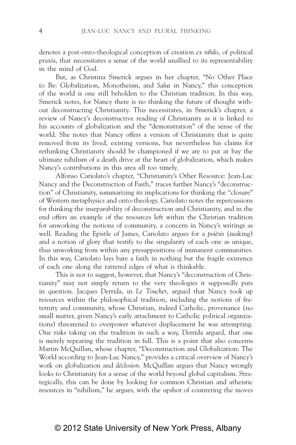denotes a post-onto-theological conception of creation *ex nihilo*, of political praxis, that necessitates a sense of the world unallied to its representability in the mind of God.

But, as Christina Smerick argues in her chapter, "No Other Place to Be: Globalization, Monotheism, and *Salut* in Nancy," this conception of the world is one still beholden to the Christian tradition. In this way, Smerick notes, for Nancy there is no thinking the future of thought without deconstructing Christianity. This necessitates, in Smerick's chapter, a review of Nancy's deconstructive reading of Christianity as it is linked to his accounts of globalization and the "demonstration" of the sense of the world. She notes that Nancy offers a version of Christianity that is quite removed from its lived, existing versions, but nevertheless his claims for rethinking Christianity should be championed if we are to put at bay the ultimate nihilism of a death drive at the heart of globalization, which makes Nancy's contributions in this area all too timely.

Alfonso Cariolato's chapter, "Christianity's Other Resource: Jean-Luc Nancy and the Deconstruction of Faith," traces further Nancy's "deconstruction" of Christianity, summarizing its implications for thinking the "closure" of Western metaphysics and onto-theology. Cariolato notes the repercussions for thinking the inseparability of deconstruction and Christianity, and in the end offers an example of the resources left within the Christian tradition for unworking the notions of community, a concern in Nancy's writings as well. Reading the Epistle of James, Cariolato argues for a *poiēsis* (making) and a notion of glory that testify to the singularity of each one as unique, thus unworking from within any presuppositions of immanent communities. In this way, Cariolato lays bare a faith in nothing but the fragile existence of each one along the tattered edges of what is thinkable.

This is not to suggest, however, that Nancy's "deconstruction of Christianity" may not simply return to the very theologies it supposedly puts in question. Jacques Derrida, in *Le Toucher*, argued that Nancy took up resources within the philosophical tradition, including the notions of fraternity and community, whose Christian, indeed Catholic, provenance (no small matter, given Nancy's early attachment to Catholic political organizations) threatened to overpower whatever displacement he was attempting. One risks taking on the tradition in such a way, Derrida argued, that one is merely repeating the tradition in full. This is a point that also concerns Martin McQuillan, whose chapter, "Deconstruction and Globalization: The World according to Jean-Luc Nancy," provides a critical overview of Nancy's work on globalization and *déclosion*. McQuillan argues that Nancy wrongly looks to Christianity for a sense of the world beyond global capitalism. Strategically, this can be done by looking for common Christian and atheistic resources in "nihilism," he argues, with the upshot of countering the moves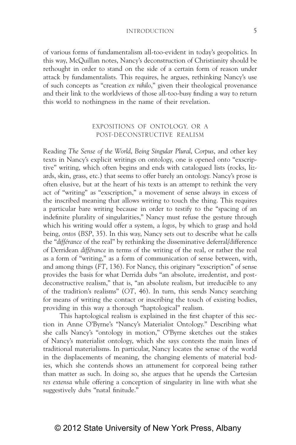of various forms of fundamentalism all-too-evident in today's geopolitics. In this way, McQuillan notes, Nancy's deconstruction of Christianity should be rethought in order to stand on the side of a certain form of reason under attack by fundamentalists. This requires, he argues, rethinking Nancy's use of such concepts as "creation *ex nihilo*," given their theological provenance and their link to the worldviews of those all-too-busy finding a way to return this world to nothingness in the name of their revelation.

### Expositions of Ontology, or a Post-Deconstructive Realism

Reading *The Sense of the World*, *Being Singular Plural*, *Corpus*, and other key texts in Nancy's explicit writings on ontology, one is opened onto "exscriptive" writing, which often begins and ends with catalogued lists (rocks, lizards, skin, grass, etc.) that seems to offer barely an ontology. Nancy's prose is often elusive, but at the heart of his texts is an attempt to rethink the very act of "writing" as "exscription," a movement of sense always in excess of the inscribed meaning that allows writing to touch the thing. This requires a particular bare writing because in order to testify to the "spacing of an indefinite plurality of singularities," Nancy must refuse the gesture through which his writing would offer a system, a *logos*, by which to grasp and hold being, *ontos* (*BSP*, 35). In this way, Nancy sets out to describe what he calls the "*différance* of the real" by rethinking the disseminative deferral/difference of Derridean *différance* in terms of the writing of the real, or rather the real as a form of "writing," as a form of communication of sense between, with, and among things (*FT*, 136). For Nancy, this originary "exscription" of sense provides the basis for what Derrida dubs "an absolute, irredentist, and postdeconstructive realism," that is, "an absolute realism, but irreducible to any of the tradition's realisms" (*OT*, 46). In turn, this sends Nancy searching for means of writing the contact or inscribing the touch of existing bodies, providing in this way a thorough "haptological" realism.

This haptological realism is explained in the first chapter of this section in Anne O'Byrne's "Nancy's Materialist Ontology." Describing what she calls Nancy's "ontology in motion," O'Byrne sketches out the stakes of Nancy's materialist ontology, which she says contests the main lines of traditional materialisms. In particular, Nancy locates the sense of the world in the displacements of meaning, the changing elements of material bodies, which she contends shows an attunement for corporeal being rather than matter as such. In doing so, she argues that he upends the Cartesian *res extensa* while offering a conception of singularity in line with what she suggestively dubs "natal finitude."

## © 2012 State University of New York Press, Albany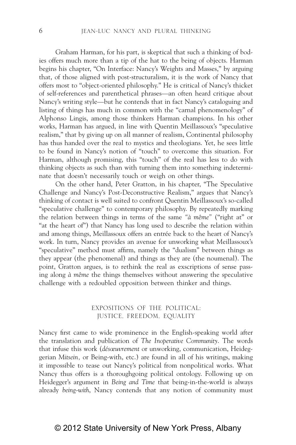Graham Harman, for his part, is skeptical that such a thinking of bodies offers much more than a tip of the hat to the being of objects. Harman begins his chapter, "On Interface: Nancy's Weights and Masses," by arguing that, of those aligned with post-structuralism, it is the work of Nancy that offers most to "object-oriented philosophy." He is critical of Nancy's thicket of self-references and parenthetical phrases—an often heard critique about Nancy's writing style—but he contends that in fact Nancy's cataloguing and listing of things has much in common with the "carnal phenomenology" of Alphonso Lingis, among those thinkers Harman champions. In his other works, Harman has argued, in line with Quentin Meillassoux's "speculative realism," that by giving up on all manner of realism, Continental philosophy has thus handed over the real to mystics and theologians. Yet, he sees little to be found in Nancy's notion of "touch" to overcome this situation. For Harman, although promising, this "touch" of the real has less to do with thinking objects as such than with turning them into something indeterminate that doesn't necessarily touch or weigh on other things.

On the other hand, Peter Gratton, in his chapter, "The Speculative Challenge and Nancy's Post-Deconstructive Realism," argues that Nancy's thinking of contact is well suited to confront Quentin Meillassoux's so-called "speculative challenge" to contemporary philosophy. By repeatedly marking the relation between things in terms of the same *"à même"* ("right at" or "at the heart of") that Nancy has long used to describe the relation within and among things, Meillassoux offers an entrée back to the heart of Nancy's work. In turn, Nancy provides an avenue for unworking what Meillassoux's "speculative" method must affirm, namely the "dualism" between things as they appear (the phenomenal) and things as they are (the noumenal). The point, Gratton argues, is to rethink the real as exscriptions of sense passing along *à même* the things themselves without answering the speculative challenge with a redoubled opposition between thinker and things.

### Expositions of the Political: Justice, Freedom, Equality

Nancy first came to wide prominence in the English-speaking world after the translation and publication of *The Inoperative Community*. The words that infuse this work (*désœuvrement* or unworking, communication, Heideggerian *Mitsein,* or Being-with, etc.) are found in all of his writings, making it impossible to tease out Nancy's political from nonpolitical works. What Nancy thus offers is a thoroughgoing political ontology. Following up on Heidegger's argument in *Being and Time* that being-in-the-world is always already *being-with*, Nancy contends that any notion of community must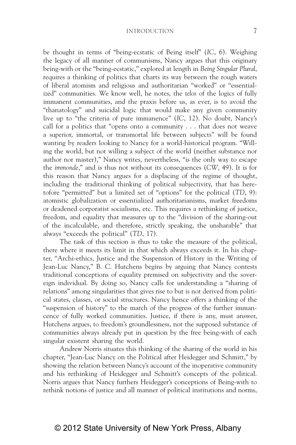7

be thought in terms of "being-ecstatic of Being itself" (*IC*, 6). Weighing the legacy of all manner of communisms, Nancy argues that this originary being-with or the "being-ecstatic," explored at length in *Being Singular Plural*, requires a thinking of politics that charts its way between the rough waters of liberal atomism and religious and authoritarian "worked" or "essentialized" communities. We know well, he notes, the *telos* of the logics of fully immanent communities, and the praxis before us, as ever, is to avoid the "thanatology" and suicidal logic that would make any given community live up to "the criteria of pure immanence" (*IC*, 12). No doubt, Nancy's call for a politics that "opens onto a community . . . that does not weave a superior, immortal, or transmortal life between subjects" will be found wanting by readers looking to Nancy for a world-historical program. "Willing the world, but not willing a subject of the world (neither substance nor author nor master)," Nancy writes, nevertheless, "is the only way to escape the *immonde*," and is thus not without its consequences (*CW*, 49). It is for this reason that Nancy argues for a displacing of the regime of thought, including the traditional thinking of political subjectivity, that has heretofore "permitted" but a limited set of "options" for the political (*TD*, 9): atomistic globalization or essentialized authoritarianisms, market freedoms or deadened corporatist socialisms, etc. This requires a rethinking of justice, freedom, and equality that measures up to the "division of the sharing-out of the incalculable, and therefore, strictly speaking, the unsharable" that always "exceeds the political" (*TD*, 17).

The task of this section is thus to take the measure of the political, there where it meets its limit in that which always exceeds it. In his chapter, "Archi-ethics, Justice and the Suspension of History in the Writing of Jean-Luc Nancy," B. C. Hutchens begins by arguing that Nancy contests traditional conceptions of equality premised on subjectivity and the sovereign individual. By doing so, Nancy calls for understanding a "sharing of relations" among singularities that gives rise to but is not derived from political states, classes, or social structures. Nancy hence offers a thinking of the "suspension of history" to the march of the progress of the further immancence of fully worked communities. Justice, if there is any, must answer, Hutchens argues, to freedom's groundlessness, not the supposed substance of communities always already put in question by the free being-with of each singular existent sharing the world.

Andrew Norris situates this thinking of the sharing of the world in his chapter, "Jean-Luc Nancy on the Political after Heidegger and Schmitt," by showing the relation between Nancy's account of the inoperative community and his rethinking of Heidegger and Schmitt's concepts of the political. Norris argues that Nancy furthers Heidegger's conceptions of Being-with to rethink notions of justice and all manner of political institutions and norms,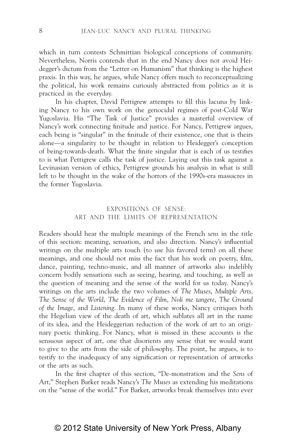which in turn contests Schmittian biological conceptions of community. Nevertheless, Norris contends that in the end Nancy does not avoid Heidegger's dictum from the "Letter on Humanism" that thinking is the highest praxis. In this way, he argues, while Nancy offers much to reconceptualizing the political, his work remains curiously abstracted from politics as it is practiced in the everyday.

In his chapter, David Pettigrew attempts to fill this lacuna by linking Nancy to his own work on the genocidal regimes of post-Cold War Yugoslavia. His "The Task of Justice" provides a masterful overview of Nancy's work connecting finitude and justice. For Nancy, Pettigrew argues, each being is "singular" in the finitude of their existence, one that is theirs alone—a singularity to be thought in relation to Heidegger's conception of being-towards-death. What the finite singular that is each of us testifies to is what Pettigrew calls the task of justice. Laying out this task against a Levinasian version of ethics, Pettigrew grounds his analysis in what is still left to be thought in the wake of the horrors of the 1990s-era massacres in the former Yugoslavia.

### Expositions of Sense: Art and the Limits of Representation

Readers should hear the multiple meanings of the French *sens* in the title of this section: meaning, sensation, and also direction. Nancy's influential writings on the multiple arts touch (to use his favored term) on all these meanings, and one should not miss the fact that his work on poetry, film, dance, painting, techno-music, and all manner of artworks also indelibly concern bodily sensations such as seeing, hearing, and touching, as well as the question of meaning and the sense of the world for us today. Nancy's writings on the arts include the two volumes of *The Muses*, *Multiple Arts*, *The Sense of the World*, *The Evidence of Film*, *Noli me tangere*, *The Ground of the Image*, and *Listening*. In many of these works, Nancy critiques both the Hegelian view of the death of art, which sublates all art in the name of its idea, and the Heideggerian reduction of the work of art to an originary poetic thinking. For Nancy, what is missed in these accounts is the sensuous aspect of art, one that disorients any sense that we would want to give to the arts from the side of philosophy. The point, he argues, is to testify to the inadequacy of any signification or representation of artworks or the arts as such.

In the first chapter of this section, "De-monstration and the *Sens* of Art," Stephen Barker reads Nancy's *The Muses* as extending his meditations on the "sense of the world." For Barker, artworks break themselves into ever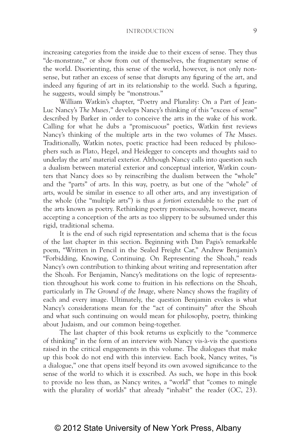increasing categories from the inside due to their excess of sense. They thus "de-monstrate," or show from out of themselves, the fragmentary sense of the world. Disorienting, this sense of the world, however, is not only nonsense, but rather an excess of sense that disrupts any figuring of the art, and indeed any figuring of art in its relationship to the world. Such a figuring, he suggests, would simply be "monstrous."

William Watkin's chapter, "Poetry and Plurality: On a Part of Jean-Luc Nancy's *The Muses,*" develops Nancy's thinking of this "excess of sense" described by Barker in order to conceive the arts in the wake of his work. Calling for what he dubs a "promiscuous" poetics, Watkin first reviews Nancy's thinking of the multiple arts in the two volumes of *The Muses*. Traditionally, Watkin notes, poetic practice had been reduced by philosophers such as Plato, Hegel, and Heidegger to concepts and thoughts said to underlay the arts' material exterior. Although Nancy calls into question such a dualism between material exterior and conceptual interior, Watkin counters that Nancy does so by reinscribing the dualism between the "whole" and the "parts" of arts. In this way, poetry, as but one of the "whole" of arts, would be similar in essence to all other arts, and any investigation of the whole (the "multiple arts") is thus *a fortiori* extendable to the part of the arts known as poetry. Rethinking poetry promiscuously, however, means accepting a conception of the arts as too slippery to be subsumed under this rigid, traditional schema.

It is the end of such rigid representation and schema that is the focus of the last chapter in this section. Beginning with Dan Pagis's remarkable poem, "Written in Pencil in the Sealed Freight Car," Andrew Benjamin's "Forbidding, Knowing, Continuing. On Representing the Shoah," reads Nancy's own contribution to thinking about writing and representation after the Shoah. For Benjamin, Nancy's meditations on the logic of representation throughout his work come to fruition in his reflections on the Shoah, particularly in *The Ground of the Image*, where Nancy shows the fragility of each and every image. Ultimately, the question Benjamin evokes is what Nancy's considerations mean for the "act of continuity" after the Shoah and what such continuing on would mean for philosophy, poetry, thinking about Judaism, and our common being-together.

The last chapter of this book returns us explicitly to the "commerce of thinking" in the form of an interview with Nancy vis-à-vis the questions raised in the critical engagements in this volume. The dialogues that make up this book do not end with this interview. Each book, Nancy writes, "is a dialogue," one that opens itself beyond its own avowed significance to the sense of the world to which it is exscribed. As such, we hope in this book to provide no less than, as Nancy writes, a "world" that "comes to mingle with the plurality of worlds" that already "inhabit" the reader (*OC*, 23).

## © 2012 State University of New York Press, Albany